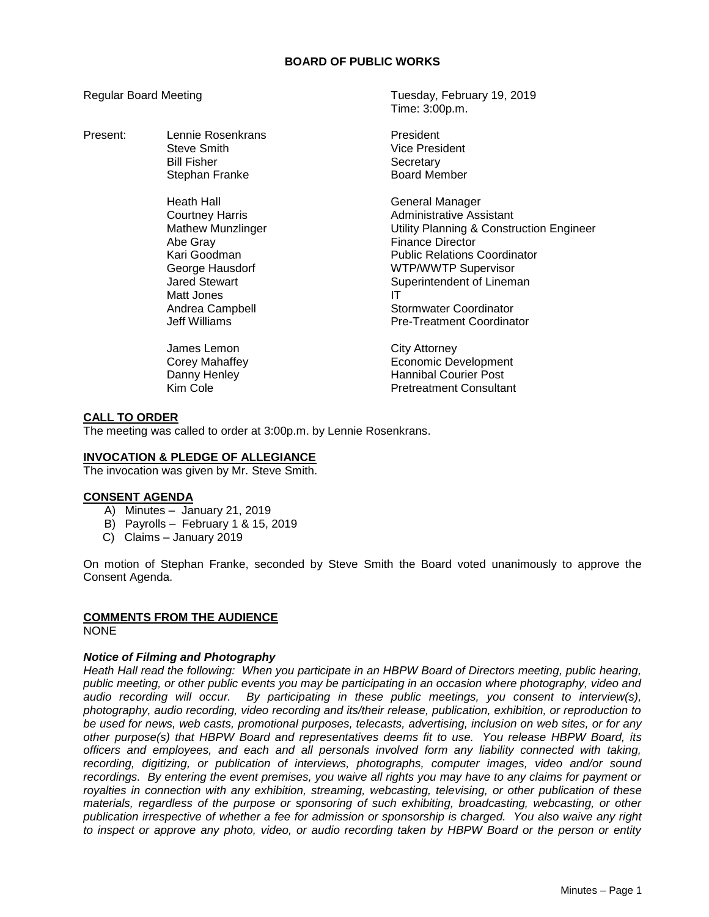#### **BOARD OF PUBLIC WORKS**

Present: Lennie Rosenkrans **President** Steve Smith Vice President Bill Fisher Secretary

> Heath Hall General Manager Abe Gray Finance Director Matt Jones **IT**

James Lemon City Attorney

Regular Board Meeting Tuesday, February 19, 2019 Time: 3:00p.m.

Stephan Franke Board Member

Courtney Harris **Administrative Assistant** Mathew Munzlinger **Muncillum** Utility Planning & Construction Engineer **Public Relations Coordinator** George Hausdorf **WIFING ACCOLLUTE SUPERITY SUPERITY SUPERITY OF LACCOLLUTE SUPERITY SUPERITY SUPERITY SUPERITY**<br>Superintendent of Linem Superintendent of Lineman Andrea Campbell **Stormwater Coordinator** Stormwater Coordinator Jeff Williams Pre-Treatment Coordinator

Corey Mahaffey **Economic Development** Danny Henley **Hannibal Courier Post** Kim Cole **Pretreatment Consultant** 

# **CALL TO ORDER**

The meeting was called to order at 3:00p.m. by Lennie Rosenkrans.

#### **INVOCATION & PLEDGE OF ALLEGIANCE**

The invocation was given by Mr. Steve Smith.

#### **CONSENT AGENDA**

- A) Minutes January 21, 2019
- B) Payrolls February 1 & 15, 2019
- C) Claims January 2019

On motion of Stephan Franke, seconded by Steve Smith the Board voted unanimously to approve the Consent Agenda.

# **COMMENTS FROM THE AUDIENCE**

**NONE** 

#### *Notice of Filming and Photography*

*Heath Hall read the following: When you participate in an HBPW Board of Directors meeting, public hearing, public meeting, or other public events you may be participating in an occasion where photography, video and audio recording will occur. By participating in these public meetings, you consent to interview(s), photography, audio recording, video recording and its/their release, publication, exhibition, or reproduction to be used for news, web casts, promotional purposes, telecasts, advertising, inclusion on web sites, or for any other purpose(s) that HBPW Board and representatives deems fit to use. You release HBPW Board, its officers and employees, and each and all personals involved form any liability connected with taking, recording, digitizing, or publication of interviews, photographs, computer images, video and/or sound recordings. By entering the event premises, you waive all rights you may have to any claims for payment or royalties in connection with any exhibition, streaming, webcasting, televising, or other publication of these materials, regardless of the purpose or sponsoring of such exhibiting, broadcasting, webcasting, or other publication irrespective of whether a fee for admission or sponsorship is charged. You also waive any right to inspect or approve any photo, video, or audio recording taken by HBPW Board or the person or entity*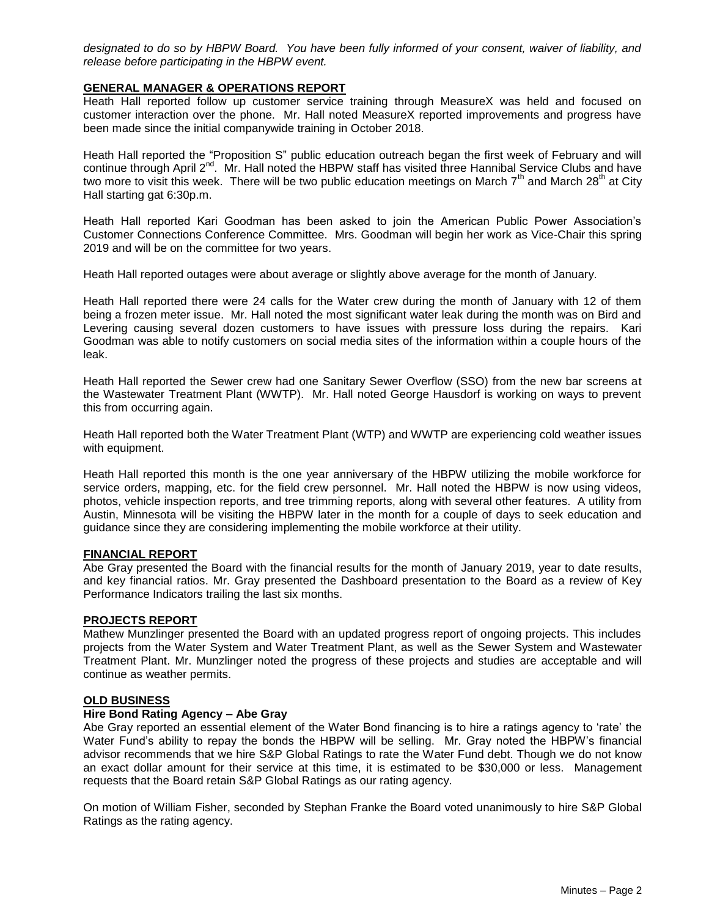*designated to do so by HBPW Board. You have been fully informed of your consent, waiver of liability, and release before participating in the HBPW event.*

# **GENERAL MANAGER & OPERATIONS REPORT**

Heath Hall reported follow up customer service training through MeasureX was held and focused on customer interaction over the phone. Mr. Hall noted MeasureX reported improvements and progress have been made since the initial companywide training in October 2018.

Heath Hall reported the "Proposition S" public education outreach began the first week of February and will continue through April 2<sup>nd</sup>. Mr. Hall noted the HBPW staff has visited three Hannibal Service Clubs and have two more to visit this week. There will be two public education meetings on March  $7<sup>th</sup>$  and March 28<sup>th</sup> at City Hall starting gat 6:30p.m.

Heath Hall reported Kari Goodman has been asked to join the American Public Power Association's Customer Connections Conference Committee. Mrs. Goodman will begin her work as Vice-Chair this spring 2019 and will be on the committee for two years.

Heath Hall reported outages were about average or slightly above average for the month of January.

Heath Hall reported there were 24 calls for the Water crew during the month of January with 12 of them being a frozen meter issue. Mr. Hall noted the most significant water leak during the month was on Bird and Levering causing several dozen customers to have issues with pressure loss during the repairs. Kari Goodman was able to notify customers on social media sites of the information within a couple hours of the leak.

Heath Hall reported the Sewer crew had one Sanitary Sewer Overflow (SSO) from the new bar screens at the Wastewater Treatment Plant (WWTP). Mr. Hall noted George Hausdorf is working on ways to prevent this from occurring again.

Heath Hall reported both the Water Treatment Plant (WTP) and WWTP are experiencing cold weather issues with equipment.

Heath Hall reported this month is the one year anniversary of the HBPW utilizing the mobile workforce for service orders, mapping, etc. for the field crew personnel. Mr. Hall noted the HBPW is now using videos, photos, vehicle inspection reports, and tree trimming reports, along with several other features. A utility from Austin, Minnesota will be visiting the HBPW later in the month for a couple of days to seek education and guidance since they are considering implementing the mobile workforce at their utility.

# **FINANCIAL REPORT**

Abe Gray presented the Board with the financial results for the month of January 2019, year to date results, and key financial ratios. Mr. Gray presented the Dashboard presentation to the Board as a review of Key Performance Indicators trailing the last six months.

#### **PROJECTS REPORT**

Mathew Munzlinger presented the Board with an updated progress report of ongoing projects. This includes projects from the Water System and Water Treatment Plant, as well as the Sewer System and Wastewater Treatment Plant. Mr. Munzlinger noted the progress of these projects and studies are acceptable and will continue as weather permits.

#### **OLD BUSINESS**

# **Hire Bond Rating Agency – Abe Gray**

Abe Gray reported an essential element of the Water Bond financing is to hire a ratings agency to 'rate' the Water Fund's ability to repay the bonds the HBPW will be selling. Mr. Gray noted the HBPW's financial advisor recommends that we hire S&P Global Ratings to rate the Water Fund debt. Though we do not know an exact dollar amount for their service at this time, it is estimated to be \$30,000 or less. Management requests that the Board retain S&P Global Ratings as our rating agency.

On motion of William Fisher, seconded by Stephan Franke the Board voted unanimously to hire S&P Global Ratings as the rating agency.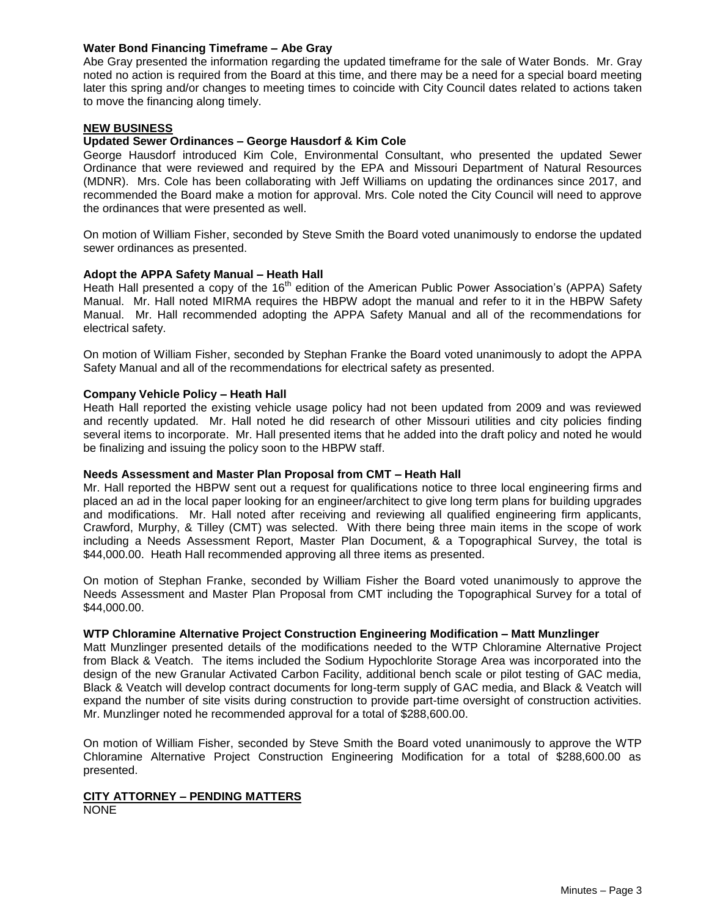# **Water Bond Financing Timeframe – Abe Gray**

Abe Gray presented the information regarding the updated timeframe for the sale of Water Bonds. Mr. Gray noted no action is required from the Board at this time, and there may be a need for a special board meeting later this spring and/or changes to meeting times to coincide with City Council dates related to actions taken to move the financing along timely.

# **NEW BUSINESS**

# **Updated Sewer Ordinances – George Hausdorf & Kim Cole**

George Hausdorf introduced Kim Cole, Environmental Consultant, who presented the updated Sewer Ordinance that were reviewed and required by the EPA and Missouri Department of Natural Resources (MDNR). Mrs. Cole has been collaborating with Jeff Williams on updating the ordinances since 2017, and recommended the Board make a motion for approval. Mrs. Cole noted the City Council will need to approve the ordinances that were presented as well.

On motion of William Fisher, seconded by Steve Smith the Board voted unanimously to endorse the updated sewer ordinances as presented.

# **Adopt the APPA Safety Manual – Heath Hall**

Heath Hall presented a copy of the 16<sup>th</sup> edition of the American Public Power Association's (APPA) Safety Manual. Mr. Hall noted MIRMA requires the HBPW adopt the manual and refer to it in the HBPW Safety Manual. Mr. Hall recommended adopting the APPA Safety Manual and all of the recommendations for electrical safety.

On motion of William Fisher, seconded by Stephan Franke the Board voted unanimously to adopt the APPA Safety Manual and all of the recommendations for electrical safety as presented.

#### **Company Vehicle Policy – Heath Hall**

Heath Hall reported the existing vehicle usage policy had not been updated from 2009 and was reviewed and recently updated. Mr. Hall noted he did research of other Missouri utilities and city policies finding several items to incorporate. Mr. Hall presented items that he added into the draft policy and noted he would be finalizing and issuing the policy soon to the HBPW staff.

#### **Needs Assessment and Master Plan Proposal from CMT – Heath Hall**

Mr. Hall reported the HBPW sent out a request for qualifications notice to three local engineering firms and placed an ad in the local paper looking for an engineer/architect to give long term plans for building upgrades and modifications. Mr. Hall noted after receiving and reviewing all qualified engineering firm applicants, Crawford, Murphy, & Tilley (CMT) was selected. With there being three main items in the scope of work including a Needs Assessment Report, Master Plan Document, & a Topographical Survey, the total is \$44,000.00. Heath Hall recommended approving all three items as presented.

On motion of Stephan Franke, seconded by William Fisher the Board voted unanimously to approve the Needs Assessment and Master Plan Proposal from CMT including the Topographical Survey for a total of \$44,000.00.

#### **WTP Chloramine Alternative Project Construction Engineering Modification – Matt Munzlinger**

Matt Munzlinger presented details of the modifications needed to the WTP Chloramine Alternative Project from Black & Veatch. The items included the Sodium Hypochlorite Storage Area was incorporated into the design of the new Granular Activated Carbon Facility, additional bench scale or pilot testing of GAC media, Black & Veatch will develop contract documents for long-term supply of GAC media, and Black & Veatch will expand the number of site visits during construction to provide part-time oversight of construction activities. Mr. Munzlinger noted he recommended approval for a total of \$288,600.00.

On motion of William Fisher, seconded by Steve Smith the Board voted unanimously to approve the WTP Chloramine Alternative Project Construction Engineering Modification for a total of \$288,600.00 as presented.

# **CITY ATTORNEY – PENDING MATTERS**

NONE